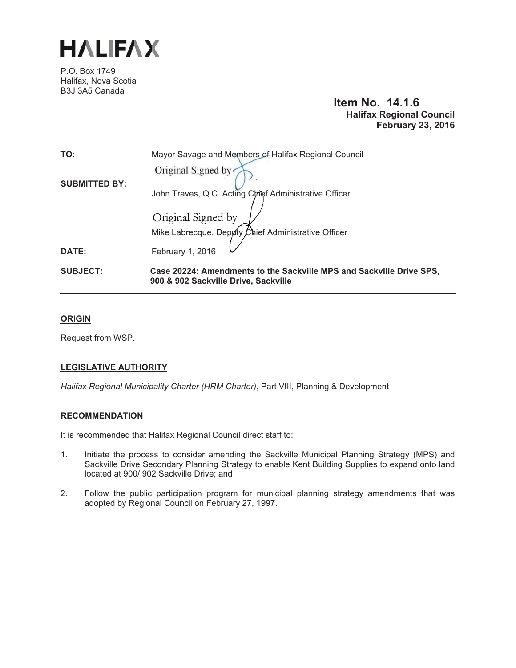

P.O. Box 1749 Halifax, Nova Scotia B3J 3A5 Canada

# **Item No. 14.1.6 Halifax Regional Council February 23, 2016**

| TO:                  | Mayor Savage and Members of Halifax Regional Council                                                         |
|----------------------|--------------------------------------------------------------------------------------------------------------|
|                      | Original Signed by                                                                                           |
| <b>SUBMITTED BY:</b> |                                                                                                              |
|                      | John Traves, Q.C. Acting Chief Administrative Officer                                                        |
|                      | Original Signed by                                                                                           |
|                      | Mike Labrecque, Deputy Chief Administrative Officer                                                          |
| DATE:                | February 1, 2016                                                                                             |
| <b>SUBJECT:</b>      | Case 20224: Amendments to the Sackville MPS and Sackville Drive SPS,<br>900 & 902 Sackville Drive, Sackville |

#### **ORIGIN**

Request from WSP.

#### **LEGISLATIVE AUTHORITY**

*Halifax Regional Municipality Charter (HRM Charter)*, Part VIII, Planning & Development

#### **RECOMMENDATION**

It is recommended that Halifax Regional Council direct staff to:

- 1. Initiate the process to consider amending the Sackville Municipal Planning Strategy (MPS) and Sackville Drive Secondary Planning Strategy to enable Kent Building Supplies to expand onto land located at 900/ 902 Sackville Drive; and
- 2. Follow the public participation program for municipal planning strategy amendments that was adopted by Regional Council on February 27, 1997.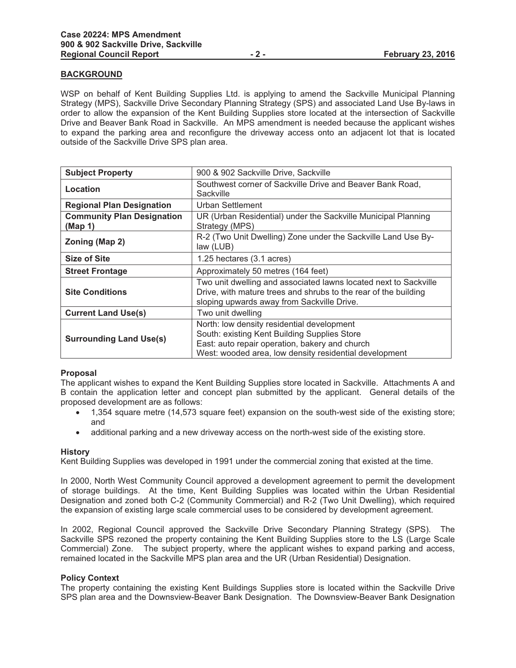#### **BACKGROUND**

WSP on behalf of Kent Building Supplies Ltd. is applying to amend the Sackville Municipal Planning Strategy (MPS), Sackville Drive Secondary Planning Strategy (SPS) and associated Land Use By-laws in order to allow the expansion of the Kent Building Supplies store located at the intersection of Sackville Drive and Beaver Bank Road in Sackville. An MPS amendment is needed because the applicant wishes to expand the parking area and reconfigure the driveway access onto an adjacent lot that is located outside of the Sackville Drive SPS plan area.

| <b>Subject Property</b>                      | 900 & 902 Sackville Drive, Sackville                                                                                                                                                                   |
|----------------------------------------------|--------------------------------------------------------------------------------------------------------------------------------------------------------------------------------------------------------|
| Location                                     | Southwest corner of Sackville Drive and Beaver Bank Road,<br>Sackville                                                                                                                                 |
| <b>Regional Plan Designation</b>             | Urban Settlement                                                                                                                                                                                       |
| <b>Community Plan Designation</b><br>(Map 1) | UR (Urban Residential) under the Sackville Municipal Planning<br>Strategy (MPS)                                                                                                                        |
| Zoning (Map 2)                               | R-2 (Two Unit Dwelling) Zone under the Sackville Land Use By-<br>law (LUB)                                                                                                                             |
| <b>Size of Site</b>                          | 1.25 hectares (3.1 acres)                                                                                                                                                                              |
| <b>Street Frontage</b>                       | Approximately 50 metres (164 feet)                                                                                                                                                                     |
| <b>Site Conditions</b>                       | Two unit dwelling and associated lawns located next to Sackville<br>Drive, with mature trees and shrubs to the rear of the building<br>sloping upwards away from Sackville Drive.                      |
| <b>Current Land Use(s)</b>                   | Two unit dwelling                                                                                                                                                                                      |
| <b>Surrounding Land Use(s)</b>               | North: low density residential development<br>South: existing Kent Building Supplies Store<br>East: auto repair operation, bakery and church<br>West: wooded area, low density residential development |

#### **Proposal**

The applicant wishes to expand the Kent Building Supplies store located in Sackville. Attachments A and B contain the application letter and concept plan submitted by the applicant. General details of the proposed development are as follows:

- $\bullet$  1,354 square metre (14,573 square feet) expansion on the south-west side of the existing store; and
- $\bullet$ additional parking and a new driveway access on the north-west side of the existing store.

#### **History**

Kent Building Supplies was developed in 1991 under the commercial zoning that existed at the time.

In 2000, North West Community Council approved a development agreement to permit the development of storage buildings. At the time, Kent Building Supplies was located within the Urban Residential Designation and zoned both C-2 (Community Commercial) and R-2 (Two Unit Dwelling), which required the expansion of existing large scale commercial uses to be considered by development agreement.

In 2002, Regional Council approved the Sackville Drive Secondary Planning Strategy (SPS). The Sackville SPS rezoned the property containing the Kent Building Supplies store to the LS (Large Scale Commercial) Zone. The subject property, where the applicant wishes to expand parking and access, remained located in the Sackville MPS plan area and the UR (Urban Residential) Designation.

#### **Policy Context**

The property containing the existing Kent Buildings Supplies store is located within the Sackville Drive SPS plan area and the Downsview-Beaver Bank Designation. The Downsview-Beaver Bank Designation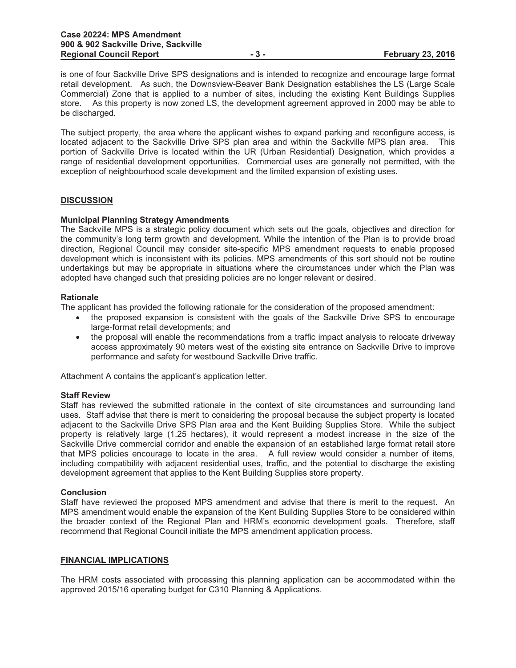is one of four Sackville Drive SPS designations and is intended to recognize and encourage large format retail development. As such, the Downsview-Beaver Bank Designation establishes the LS (Large Scale Commercial) Zone that is applied to a number of sites, including the existing Kent Buildings Supplies store. As this property is now zoned LS, the development agreement approved in 2000 may be able to be discharged.

The subject property, the area where the applicant wishes to expand parking and reconfigure access, is located adjacent to the Sackville Drive SPS plan area and within the Sackville MPS plan area. This portion of Sackville Drive is located within the UR (Urban Residential) Designation, which provides a range of residential development opportunities. Commercial uses are generally not permitted, with the exception of neighbourhood scale development and the limited expansion of existing uses.

#### **DISCUSSION**

#### **Municipal Planning Strategy Amendments**

The Sackville MPS is a strategic policy document which sets out the goals, objectives and direction for the community's long term growth and development. While the intention of the Plan is to provide broad direction, Regional Council may consider site-specific MPS amendment requests to enable proposed development which is inconsistent with its policies. MPS amendments of this sort should not be routine undertakings but may be appropriate in situations where the circumstances under which the Plan was adopted have changed such that presiding policies are no longer relevant or desired.

#### **Rationale**

The applicant has provided the following rationale for the consideration of the proposed amendment:

- the proposed expansion is consistent with the goals of the Sackville Drive SPS to encourage large-format retail developments; and
- $\bullet$  the proposal will enable the recommendations from a traffic impact analysis to relocate driveway access approximately 90 meters west of the existing site entrance on Sackville Drive to improve performance and safety for westbound Sackville Drive traffic.

Attachment A contains the applicant's application letter.

#### **Staff Review**

Staff has reviewed the submitted rationale in the context of site circumstances and surrounding land uses. Staff advise that there is merit to considering the proposal because the subject property is located adjacent to the Sackville Drive SPS Plan area and the Kent Building Supplies Store. While the subject property is relatively large (1.25 hectares), it would represent a modest increase in the size of the Sackville Drive commercial corridor and enable the expansion of an established large format retail store that MPS policies encourage to locate in the area. A full review would consider a number of items, including compatibility with adjacent residential uses, traffic, and the potential to discharge the existing development agreement that applies to the Kent Building Supplies store property.

#### **Conclusion**

Staff have reviewed the proposed MPS amendment and advise that there is merit to the request. An MPS amendment would enable the expansion of the Kent Building Supplies Store to be considered within the broader context of the Regional Plan and HRM's economic development goals. Therefore, staff recommend that Regional Council initiate the MPS amendment application process.

#### **FINANCIAL IMPLICATIONS**

The HRM costs associated with processing this planning application can be accommodated within the approved 2015/16 operating budget for C310 Planning & Applications.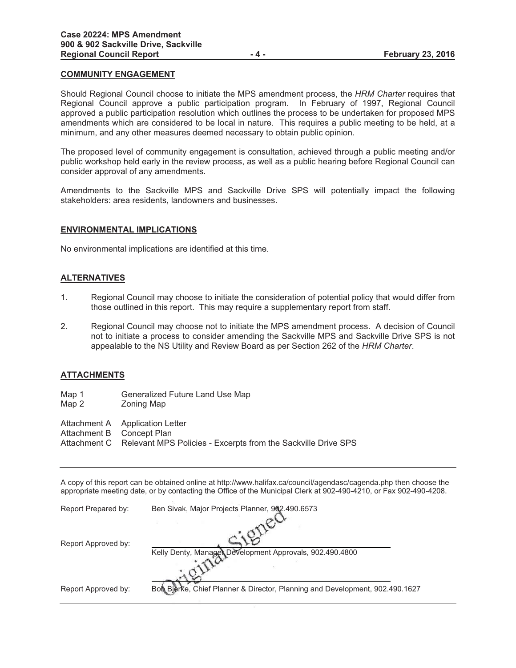#### **COMMUNITY ENGAGEMENT**

Should Regional Council choose to initiate the MPS amendment process, the *HRM Charter* requires that Regional Council approve a public participation program. In February of 1997, Regional Council approved a public participation resolution which outlines the process to be undertaken for proposed MPS amendments which are considered to be local in nature. This requires a public meeting to be held, at a minimum, and any other measures deemed necessary to obtain public opinion.

The proposed level of community engagement is consultation, achieved through a public meeting and/or public workshop held early in the review process, as well as a public hearing before Regional Council can consider approval of any amendments.

Amendments to the Sackville MPS and Sackville Drive SPS will potentially impact the following stakeholders: area residents, landowners and businesses.

#### **ENVIRONMENTAL IMPLICATIONS**

No environmental implications are identified at this time.

#### **ALTERNATIVES**

- 1. Regional Council may choose to initiate the consideration of potential policy that would differ from those outlined in this report. This may require a supplementary report from staff.
- 2. Regional Council may choose not to initiate the MPS amendment process. A decision of Council not to initiate a process to consider amending the Sackville MPS and Sackville Drive SPS is not appealable to the NS Utility and Review Board as per Section 262 of the *HRM Charter*.

#### **ATTACHMENTS**

- Map 1 Generalized Future Land Use Map<br>Map 2 Zoning Map
- Zoning Map

Attachment A Application Letter

- Attachment B Concept Plan
- Attachment C Relevant MPS Policies Excerpts from the Sackville Drive SPS

A copy of this report can be obtained online at http://www.halifax.ca/council/agendasc/cagenda.php then choose the appropriate meeting date, or by contacting the Office of the Municipal Clerk at 902-490-4210, or Fax 902-490-4208.

| Report Prepared by: | Ben Sivak, Major Projects Planner, 902.490.6573                              |
|---------------------|------------------------------------------------------------------------------|
|                     |                                                                              |
| Report Approved by: | Kelly Denty, Manager Development Approvals, 902.490.4800                     |
|                     |                                                                              |
| Report Approved by: | Bob Bierke, Chief Planner & Director, Planning and Development, 902.490.1627 |
|                     |                                                                              |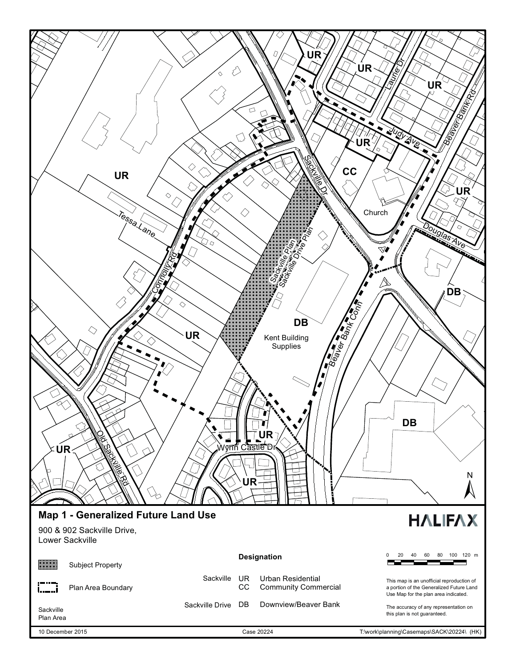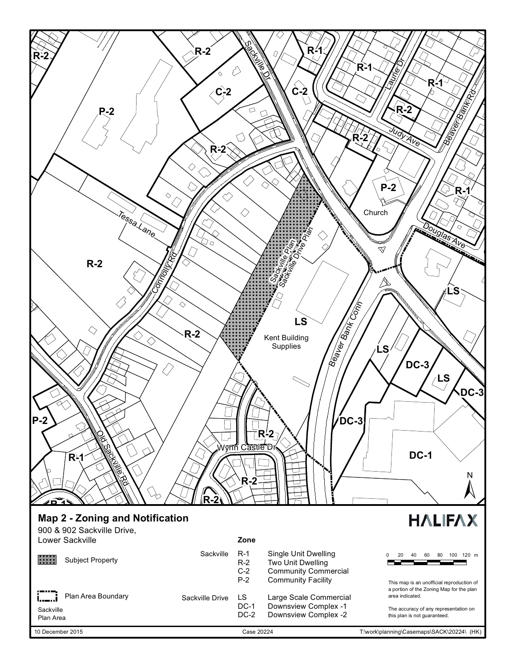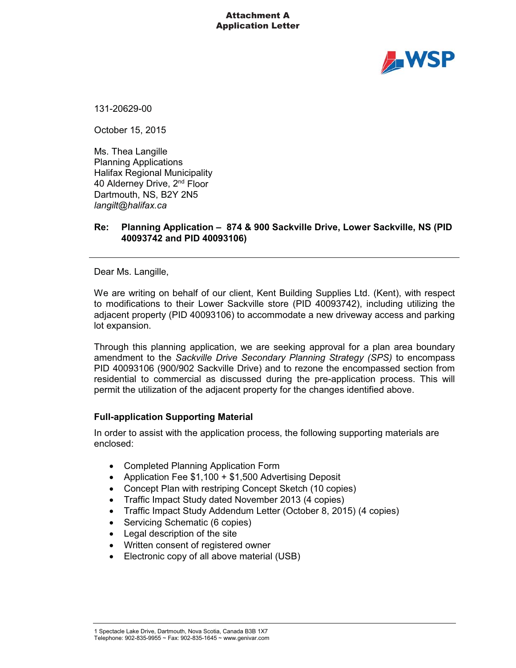#### Attachment A Application Letter



131-20629-00

October 15, 2015

Ms. Thea Langille Planning Applications Halifax Regional Municipality 40 Alderney Drive, 2<sup>nd</sup> Floor Dartmouth, NS, B2Y 2N5 *langilt@halifax.ca*

# **Re: Planning Application – 874 & 900 Sackville Drive, Lower Sackville, NS (PID 40093742 and PID 40093106)**

Dear Ms. Langille,

We are writing on behalf of our client, Kent Building Supplies Ltd. (Kent), with respect to modifications to their Lower Sackville store (PID 40093742), including utilizing the adjacent property (PID 40093106) to accommodate a new driveway access and parking lot expansion.

Through this planning application, we are seeking approval for a plan area boundary amendment to the *Sackville Drive Secondary Planning Strategy (SPS)* to encompass PID 40093106 (900/902 Sackville Drive) and to rezone the encompassed section from residential to commercial as discussed during the pre-application process. This will permit the utilization of the adjacent property for the changes identified above.

#### **Full-application Supporting Material**

In order to assist with the application process, the following supporting materials are enclosed:

- Completed Planning Application Form
- $\bullet$ Application Fee \$1,100 + \$1,500 Advertising Deposit
- Concept Plan with restriping Concept Sketch (10 copies)
- $\bullet$ Traffic Impact Study dated November 2013 (4 copies)
- $\bullet$ Traffic Impact Study Addendum Letter (October 8, 2015) (4 copies)
- -Servicing Schematic (6 copies)
- -Legal description of the site
- -Written consent of registered owner
- -Electronic copy of all above material (USB)

#### 1 Spectacle Lake Drive, Dartmouth, Nova Scotia, Canada B3B 1X7 Telephone: 902-835-9955 ~ Fax: 902-835-1645 ~ www.genivar.com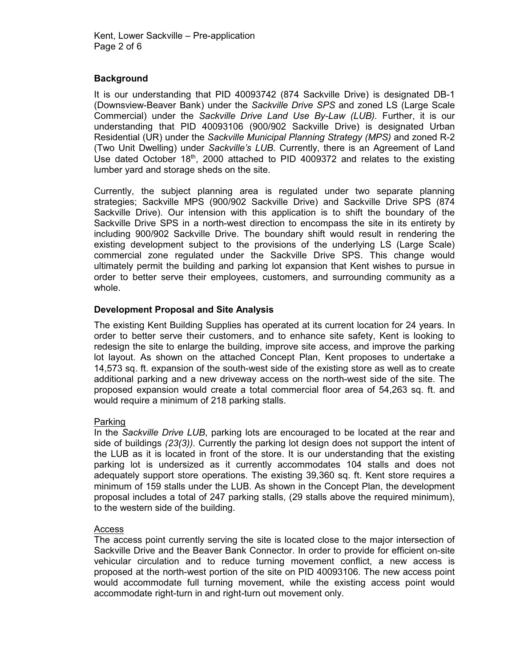# **Background**

It is our understanding that PID 40093742 (874 Sackville Drive) is designated DB-1 (Downsview-Beaver Bank) under the *Sackville Drive SPS* and zoned LS (Large Scale Commercial) under the *Sackville Drive Land Use By-Law (LUB).* Further, it is our understanding that PID 40093106 (900/902 Sackville Drive) is designated Urban Residential (UR) under the *Sackville Municipal Planning Strategy (MPS)* and zoned R-2 (Two Unit Dwelling) under *Sackville's LUB*. Currently, there is an Agreement of Land Use dated October  $18<sup>th</sup>$ , 2000 attached to PID 4009372 and relates to the existing lumber yard and storage sheds on the site.

Currently, the subject planning area is regulated under two separate planning strategies; Sackville MPS (900/902 Sackville Drive) and Sackville Drive SPS (874 Sackville Drive). Our intension with this application is to shift the boundary of the Sackville Drive SPS in a north-west direction to encompass the site in its entirety by including 900/902 Sackville Drive. The boundary shift would result in rendering the existing development subject to the provisions of the underlying LS (Large Scale) commercial zone regulated under the Sackville Drive SPS. This change would ultimately permit the building and parking lot expansion that Kent wishes to pursue in order to better serve their employees, customers, and surrounding community as a whole.

# **Development Proposal and Site Analysis**

The existing Kent Building Supplies has operated at its current location for 24 years. In order to better serve their customers, and to enhance site safety, Kent is looking to redesign the site to enlarge the building, improve site access, and improve the parking lot layout. As shown on the attached Concept Plan, Kent proposes to undertake a 14,573 sq. ft. expansion of the south-west side of the existing store as well as to create additional parking and a new driveway access on the north-west side of the site. The proposed expansion would create a total commercial floor area of 54,263 sq. ft. and would require a minimum of 218 parking stalls.

#### Parking

In the *Sackville Drive LUB*, parking lots are encouraged to be located at the rear and side of buildings *(23(3)).* Currently the parking lot design does not support the intent of the LUB as it is located in front of the store. It is our understanding that the existing parking lot is undersized as it currently accommodates 104 stalls and does not adequately support store operations. The existing 39,360 sq. ft. Kent store requires a minimum of 159 stalls under the LUB. As shown in the Concept Plan, the development proposal includes a total of 247 parking stalls, (29 stalls above the required minimum), to the western side of the building.

#### **Access**

The access point currently serving the site is located close to the major intersection of Sackville Drive and the Beaver Bank Connector. In order to provide for efficient on-site vehicular circulation and to reduce turning movement conflict, a new access is proposed at the north-west portion of the site on PID 40093106. The new access point would accommodate full turning movement, while the existing access point would accommodate right-turn in and right-turn out movement only.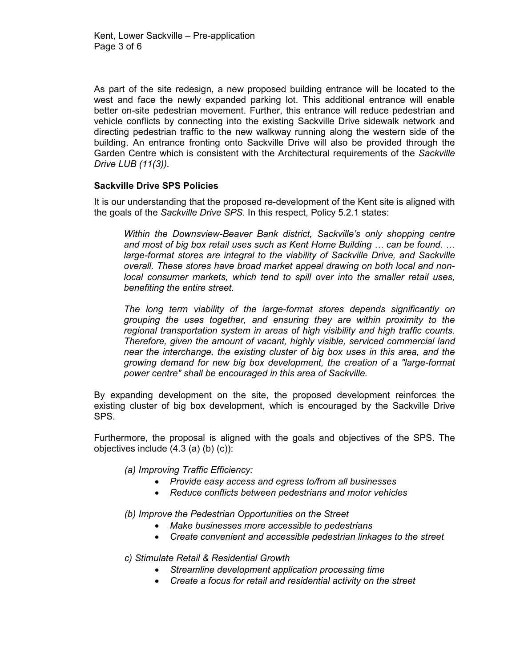As part of the site redesign, a new proposed building entrance will be located to the west and face the newly expanded parking lot. This additional entrance will enable better on-site pedestrian movement. Further, this entrance will reduce pedestrian and vehicle conflicts by connecting into the existing Sackville Drive sidewalk network and directing pedestrian traffic to the new walkway running along the western side of the building. An entrance fronting onto Sackville Drive will also be provided through the Garden Centre which is consistent with the Architectural requirements of the *Sackville Drive LUB (11(3)).* 

# **Sackville Drive SPS Policies**

It is our understanding that the proposed re-development of the Kent site is aligned with the goals of the *Sackville Drive SPS*. In this respect, Policy 5.2.1 states:

*Within the Downsview-Beaver Bank district, Sackville's only shopping centre and most of big box retail uses such as Kent Home Building … can be found. …* large-format stores are integral to the viability of Sackville Drive, and Sackville *overall. These stores have broad market appeal drawing on both local and nonlocal consumer markets, which tend to spill over into the smaller retail uses, benefiting the entire street.*

*The long term viability of the large-format stores depends significantly on grouping the uses together, and ensuring they are within proximity to the regional transportation system in areas of high visibility and high traffic counts. Therefore, given the amount of vacant, highly visible, serviced commercial land near the interchange, the existing cluster of big box uses in this area, and the growing demand for new big box development, the creation of a "large-format power centre" shall be encouraged in this area of Sackville.*

By expanding development on the site, the proposed development reinforces the existing cluster of big box development, which is encouraged by the Sackville Drive SPS.

Furthermore, the proposal is aligned with the goals and objectives of the SPS. The objectives include (4.3 (a) (b) (c)):

*(a) Improving Traffic Efficiency:* 

- *Provide easy access and egress to/from all businesses*
- *Reduce conflicts between pedestrians and motor vehicles*

*(b) Improve the Pedestrian Opportunities on the Street*

- *Make businesses more accessible to pedestrians*
- *Create convenient and accessible pedestrian linkages to the street*

*c) Stimulate Retail & Residential Growth*

- *Streamline development application processing time*
- *Create a focus for retail and residential activity on the street*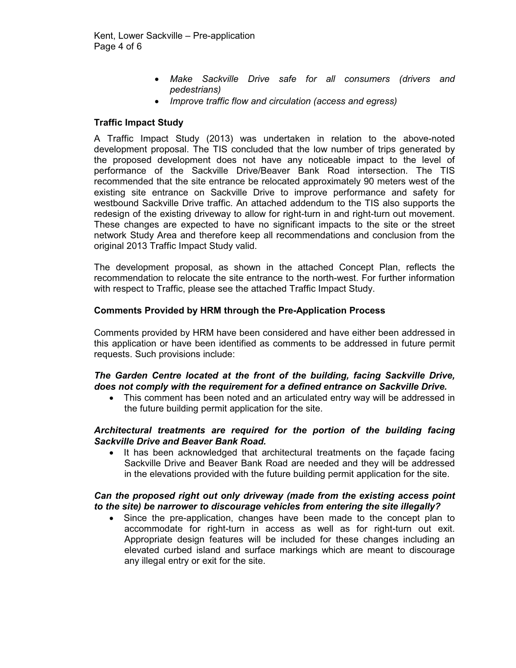- *Make Sackville Drive safe for all consumers (drivers and pedestrians)*
- *Improve traffic flow and circulation (access and egress)*

# **Traffic Impact Study**

A Traffic Impact Study (2013) was undertaken in relation to the above-noted development proposal. The TIS concluded that the low number of trips generated by the proposed development does not have any noticeable impact to the level of performance of the Sackville Drive/Beaver Bank Road intersection. The TIS recommended that the site entrance be relocated approximately 90 meters west of the existing site entrance on Sackville Drive to improve performance and safety for westbound Sackville Drive traffic. An attached addendum to the TIS also supports the redesign of the existing driveway to allow for right-turn in and right-turn out movement. These changes are expected to have no significant impacts to the site or the street network Study Area and therefore keep all recommendations and conclusion from the original 2013 Traffic Impact Study valid.

The development proposal, as shown in the attached Concept Plan, reflects the recommendation to relocate the site entrance to the north-west. For further information with respect to Traffic, please see the attached Traffic Impact Study.

#### **Comments Provided by HRM through the Pre-Application Process**

Comments provided by HRM have been considered and have either been addressed in this application or have been identified as comments to be addressed in future permit requests. Such provisions include:

# *The Garden Centre located at the front of the building, facing Sackville Drive, does not comply with the requirement for a defined entrance on Sackville Drive.*

- This comment has been noted and an articulated entry way will be addressed in the future building permit application for the site.

# *Architectural treatments are required for the portion of the building facing Sackville Drive and Beaver Bank Road.*

- It has been acknowledged that architectural treatments on the façade facing Sackville Drive and Beaver Bank Road are needed and they will be addressed in the elevations provided with the future building permit application for the site.

# *Can the proposed right out only driveway (made from the existing access point to the site) be narrower to discourage vehicles from entering the site illegally?*

- Since the pre-application, changes have been made to the concept plan to accommodate for right-turn in access as well as for right-turn out exit. Appropriate design features will be included for these changes including an elevated curbed island and surface markings which are meant to discourage any illegal entry or exit for the site.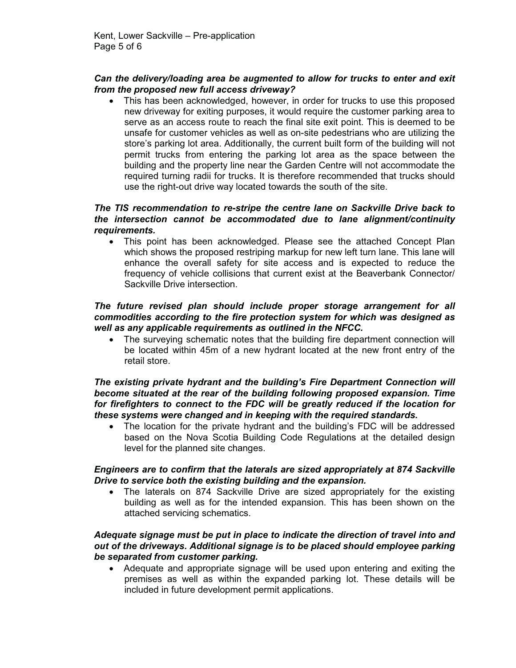# *Can the delivery/loading area be augmented to allow for trucks to enter and exit from the proposed new full access driveway?*

 $\bullet$  This has been acknowledged, however, in order for trucks to use this proposed new driveway for exiting purposes, it would require the customer parking area to serve as an access route to reach the final site exit point. This is deemed to be unsafe for customer vehicles as well as on-site pedestrians who are utilizing the store's parking lot area. Additionally, the current built form of the building will not permit trucks from entering the parking lot area as the space between the building and the property line near the Garden Centre will not accommodate the required turning radii for trucks. It is therefore recommended that trucks should use the right-out drive way located towards the south of the site.

# *The TIS recommendation to re-stripe the centre lane on Sackville Drive back to the intersection cannot be accommodated due to lane alignment/continuity requirements.*

- This point has been acknowledged. Please see the attached Concept Plan which shows the proposed restriping markup for new left turn lane. This lane will enhance the overall safety for site access and is expected to reduce the frequency of vehicle collisions that current exist at the Beaverbank Connector/ Sackville Drive intersection.

# *The future revised plan should include proper storage arrangement for all commodities according to the fire protection system for which was designed as well as any applicable requirements as outlined in the NFCC.*

 $\bullet$  The surveying schematic notes that the building fire department connection will be located within 45m of a new hydrant located at the new front entry of the retail store.

# *The existing private hydrant and the building's Fire Department Connection will become situated at the rear of the building following proposed expansion. Time for firefighters to connect to the FDC will be greatly reduced if the location for these systems were changed and in keeping with the required standards.*

 $\bullet$  The location for the private hydrant and the building's FDC will be addressed based on the Nova Scotia Building Code Regulations at the detailed design level for the planned site changes.

# *Engineers are to confirm that the laterals are sized appropriately at 874 Sackville Drive to service both the existing building and the expansion.*

- The laterals on 874 Sackville Drive are sized appropriately for the existing building as well as for the intended expansion. This has been shown on the attached servicing schematics.

# *Adequate signage must be put in place to indicate the direction of travel into and out of the driveways. Additional signage is to be placed should employee parking be separated from customer parking.*

 $\bullet$  Adequate and appropriate signage will be used upon entering and exiting the premises as well as within the expanded parking lot. These details will be included in future development permit applications.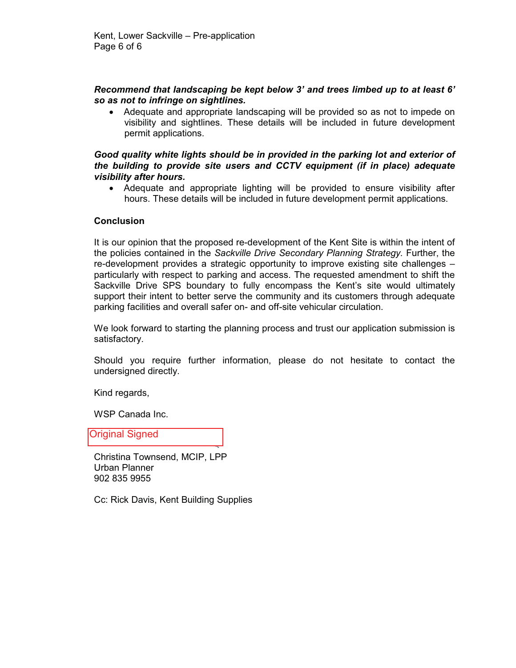# *Recommend that landscaping be kept below 3' and trees limbed up to at least 6' so as not to infringe on sightlines.*

- Adequate and appropriate landscaping will be provided so as not to impede on visibility and sightlines. These details will be included in future development permit applications.

### *Good quality white lights should be in provided in the parking lot and exterior of the building to provide site users and CCTV equipment (if in place) adequate visibility after hours.*

- Adequate and appropriate lighting will be provided to ensure visibility after hours. These details will be included in future development permit applications.

# **Conclusion**

It is our opinion that the proposed re-development of the Kent Site is within the intent of the policies contained in the *Sackville Drive Secondary Planning Strategy.* Further, the re-development provides a strategic opportunity to improve existing site challenges – particularly with respect to parking and access. The requested amendment to shift the Sackville Drive SPS boundary to fully encompass the Kent's site would ultimately support their intent to better serve the community and its customers through adequate parking facilities and overall safer on- and off-site vehicular circulation.

We look forward to starting the planning process and trust our application submission is satisfactory.

Should you require further information, please do not hesitate to contact the undersigned directly.

Kind regards,

WSP Canada Inc.

Original Signed

Christina Townsend, MCIP, LPP Urban Planner 902 835 9955

Cc: Rick Davis, Kent Building Supplies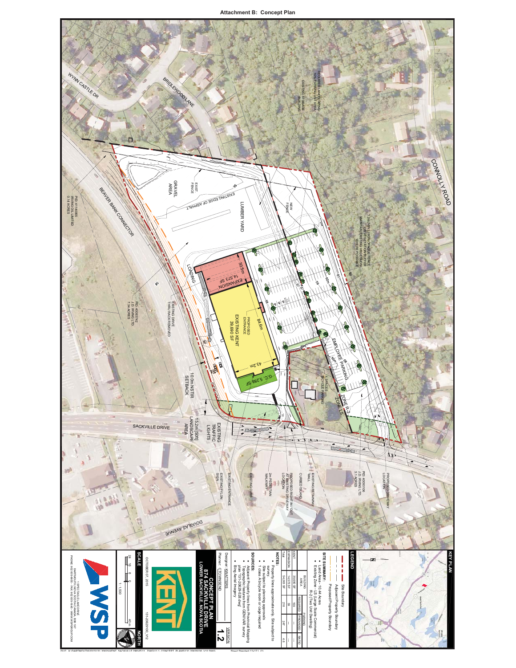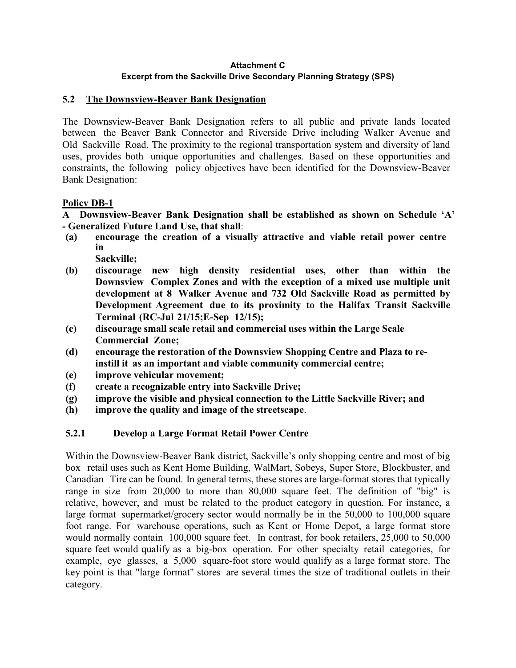#### **Attachment C Excerpt from the Sackville Drive Secondary Planning Strategy (SPS)**

# **5.2 The Downsview-Beaver Bank Designation**

The Downsview-Beaver Bank Designation refers to all public and private lands located between the Beaver Bank Connector and Riverside Drive including Walker Avenue and Old Sackville Road. The proximity to the regional transportation system and diversity of land uses, provides both unique opportunities and challenges. Based on these opportunities and constraints, the following policy objectives have been identified for the Downsview-Beaver Bank Designation:

# **Policy DB-1**

**A Downsview-Beaver Bank Designation shall be established as shown on Schedule 'A' - Generalized Future Land Use, that shall**:

- **(a) encourage the creation of a visually attractive and viable retail power centre in Sackville;**
- **(b) discourage new high density residential uses, other than within the Downsview Complex Zones and with the exception of a mixed use multiple unit development at 8 Walker Avenue and 732 Old Sackville Road as permitted by Development Agreement due to its proximity to the Halifax Transit Sackville Terminal (RC-Jul 21/15;E-Sep 12/15);**
- **(c) discourage small scale retail and commercial uses within the Large Scale Commercial Zone;**
- **(d) encourage the restoration of the Downsview Shopping Centre and Plaza to reinstill it as an important and viable community commercial centre;**
- **(e) improve vehicular movement;**
- **(f) create a recognizable entry into Sackville Drive;**
- **(g) improve the visible and physical connection to the Little Sackville River; and**
- **(h) improve the quality and image of the streetscape**.

# **5.2.1 Develop a Large Format Retail Power Centre**

Within the Downsview-Beaver Bank district, Sackville's only shopping centre and most of big box retail uses such as Kent Home Building, WalMart, Sobeys, Super Store, Blockbuster, and Canadian Tire can be found. In general terms, these stores are large-format stores that typically range in size from 20,000 to more than 80,000 square feet. The definition of "big" is relative, however, and must be related to the product category in question. For instance, a large format supermarket/grocery sector would normally be in the 50,000 to 100,000 square foot range. For warehouse operations, such as Kent or Home Depot, a large format store would normally contain 100,000 square feet. In contrast, for book retailers, 25,000 to 50,000 square feet would qualify as a big-box operation. For other specialty retail categories, for example, eye glasses, a 5,000 square-foot store would qualify as a large format store. The key point is that "large format" stores are several times the size of traditional outlets in their category.